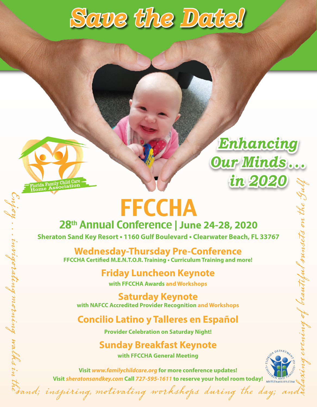



Enjoy

Florida Family Child Care

. . .

invigorating

morning

walks

i<br>Vi

# **FFCCHA**

## 28th Annual Conference | **June 24-28, 2020**

**Sheraton Sand Key Resort • 1160 Gulf Boulevard • Clearwater Beach, FL 33767**

**Wednesday-Thursday Pre-Conference FFCCHA Certified M.E.N.T.O.R. Training • Curriculum Training and more!**

**Friday Luncheon Keynote**

**with FFCCHA Awards and Workshops** 

**Saturday Keynote with NAFCC Accredited Provider Recognition and Workshops** 

## **Concilio Latino y Talleres en Español**

**Provider Celebration on Saturday Night!**

## **Sunday Breakfast Keynote**

evening

of

beautiful sunsets

o  $\boldsymbol{z}$ 

te

Gu

lf

*Enhancing* 

*Our Minds . . .* 

*in 2020*

**with FFCCHA General Meeting**

the samd; inspiring, motivating workshops during the day; and **Visit** *[www.familychildcare.org](http://www.familychildcare.org)* **for more conference updates! Visit** *[sheratonsandkey.com](http://sheratonsandkey.com)* **Call** *727-595-1611* **to reserve your hotel room today!**